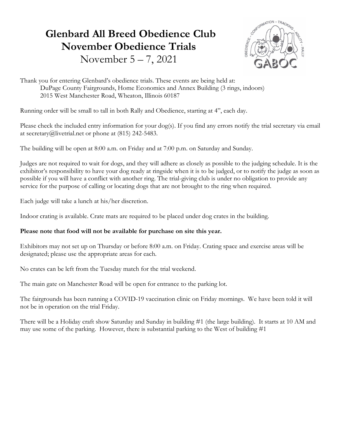# Glenbard All Breed Obedience Club November Obedience Trials November 5 – 7, 2021



Thank you for entering Glenbard's obedience trials. These events are being held at: DuPage County Fairgrounds, Home Economics and Annex Building (3 rings, indoors) 2015 West Manchester Road, Wheaton, Illinois 60187

Running order will be small to tall in both Rally and Obedience, starting at 4", each day.

Please check the included entry information for your dog(s). If you find any errors notify the trial secretary via email at secretary@livetrial.net or phone at (815) 242-5483.

The building will be open at 8:00 a.m. on Friday and at 7:00 p.m. on Saturday and Sunday.

Judges are not required to wait for dogs, and they will adhere as closely as possible to the judging schedule. It is the exhibitor's responsibility to have your dog ready at ringside when it is to be judged, or to notify the judge as soon as possible if you will have a conflict with another ring. The trial-giving club is under no obligation to provide any service for the purpose of calling or locating dogs that are not brought to the ring when required.

Each judge will take a lunch at his/her discretion.

Indoor crating is available. Crate mats are required to be placed under dog crates in the building.

#### Please note that food will not be available for purchase on site this year.

Exhibitors may not set up on Thursday or before 8:00 a.m. on Friday. Crating space and exercise areas will be designated; please use the appropriate areas for each.

No crates can be left from the Tuesday match for the trial weekend.

The main gate on Manchester Road will be open for entrance to the parking lot.

The fairgrounds has been running a COVID-19 vaccination clinic on Friday mornings. We have been told it will not be in operation on the trial Friday.

There will be a Holiday craft show Saturday and Sunday in building #1 (the large building). It starts at 10 AM and may use some of the parking. However, there is substantial parking to the West of building #1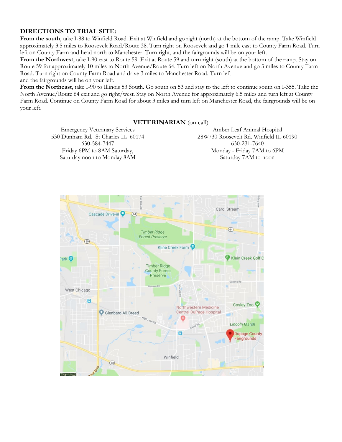#### DIRECTIONS TO TRIAL SITE:

From the south, take I-88 to Winfield Road. Exit at Winfield and go right (north) at the bottom of the ramp. Take Winfield approximately 3.5 miles to Roosevelt Road/Route 38. Turn right on Roosevelt and go 1 mile east to County Farm Road. Turn left on County Farm and head north to Manchester. Turn right, and the fairgrounds will be on your left.

From the Northwest, take I-90 east to Route 59. Exit at Route 59 and turn right (south) at the bottom of the ramp. Stay on Route 59 for approximately 10 miles to North Avenue/Route 64. Turn left on North Avenue and go 3 miles to County Farm Road. Turn right on County Farm Road and drive 3 miles to Manchester Road. Turn left

and the fairgrounds will be on your left.

From the Northeast, take I-90 to Illinois 53 South. Go south on 53 and stay to the left to continue south on I-355. Take the North Avenue/Route 64 exit and go right/west. Stay on North Avenue for approximately 6.5 miles and turn left at County Farm Road. Continue on County Farm Road for about 3 miles and turn left on Manchester Road, the fairgrounds will be on your left.

#### VETERINARIAN (on call)

Emergency Veterinary Services 530 Dunham Rd. St Charles IL 60174 630-584-7447 Friday 6PM to 8AM Saturday, Saturday noon to Monday 8AM

Amber Leaf Animal Hospital 28W730 Roosevelt Rd. Winfield IL 60190 630-231-7640 Monday - Friday 7AM to 6PM Saturday 7AM to noon

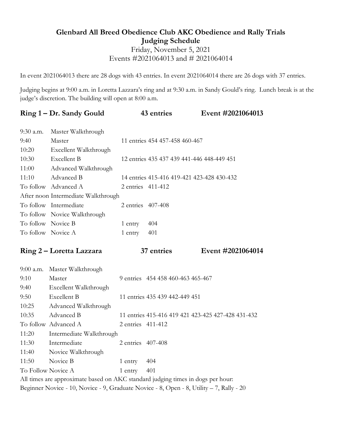## Glenbard All Breed Obedience Club AKC Obedience and Rally Trials Judging Schedule Friday, November 5, 2021 Events #2021064013 and # 2021064014

In event 2021064013 there are 28 dogs with 43 entries. In event 2021064014 there are 26 dogs with 37 entries.

Judging begins at 9:00 a.m. in Loretta Lazzara's ring and at 9:30 a.m. in Sandy Gould's ring. Lunch break is at the judge's discretion. The building will open at 8:00 a.m.

|                                                                                          | Ring 1 – Dr. Sandy Gould                                                        |                   | 43 entries                                 | Event #2021064013                                  |  |
|------------------------------------------------------------------------------------------|---------------------------------------------------------------------------------|-------------------|--------------------------------------------|----------------------------------------------------|--|
| 9:30 a.m.                                                                                | Master Walkthrough                                                              |                   |                                            |                                                    |  |
| 9:40                                                                                     | Master                                                                          |                   | 11 entries 454 457-458 460-467             |                                                    |  |
| 10:20                                                                                    | Excellent Walkthrough                                                           |                   |                                            |                                                    |  |
| 10:30                                                                                    | Excellent B                                                                     |                   | 12 entries 435 437 439 441-446 448-449 451 |                                                    |  |
| 11:00                                                                                    | Advanced Walkthrough                                                            |                   |                                            |                                                    |  |
| 11:10                                                                                    | Advanced B                                                                      |                   | 14 entries 415-416 419-421 423-428 430-432 |                                                    |  |
|                                                                                          | To follow Advanced A                                                            | 2 entries 411-412 |                                            |                                                    |  |
|                                                                                          | After noon Intermediate Walkthrough                                             |                   |                                            |                                                    |  |
|                                                                                          | To follow Intermediate                                                          | 2 entries 407-408 |                                            |                                                    |  |
|                                                                                          | To follow Novice Walkthrough                                                    |                   |                                            |                                                    |  |
| To follow Novice B                                                                       |                                                                                 | 1 entry           | 404                                        |                                                    |  |
|                                                                                          | To follow Novice A                                                              | 1 entry           | 401                                        |                                                    |  |
|                                                                                          | Ring 2 – Loretta Lazzara                                                        |                   | 37 entries                                 | Event #2021064014                                  |  |
| 9:00 a.m.                                                                                | Master Walkthrough                                                              |                   |                                            |                                                    |  |
| 9:10                                                                                     | Master                                                                          |                   | 9 entries 454 458 460-463 465-467          |                                                    |  |
| 9:40                                                                                     | Excellent Walkthrough                                                           |                   |                                            |                                                    |  |
| 9:50                                                                                     | Excellent B                                                                     |                   | 11 entries 435 439 442-449 451             |                                                    |  |
| 10:25                                                                                    | Advanced Walkthrough                                                            |                   |                                            |                                                    |  |
| 10:35                                                                                    | Advanced B                                                                      |                   |                                            | 11 entries 415-416 419 421 423-425 427-428 431-432 |  |
|                                                                                          | To follow Advanced A                                                            | 2 entries 411-412 |                                            |                                                    |  |
| 11:20                                                                                    | Intermediate Walkthrough                                                        |                   |                                            |                                                    |  |
| 11:30                                                                                    | Intermediate                                                                    | 2 entries 407-408 |                                            |                                                    |  |
| 11:40                                                                                    | Novice Walkthrough                                                              |                   |                                            |                                                    |  |
| 11:50                                                                                    | Novice B                                                                        | 1 entry           | 404                                        |                                                    |  |
| To Follow Novice A                                                                       |                                                                                 | 1 entry           | 401                                        |                                                    |  |
|                                                                                          | All times are approximate based on AKC standard judging times in dogs per hour: |                   |                                            |                                                    |  |
| Beginner Novice - 10, Novice - 9, Graduate Novice - 8, Open - 8, Utility - 7, Rally - 20 |                                                                                 |                   |                                            |                                                    |  |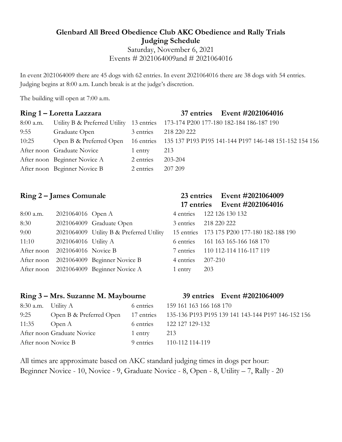#### Glenbard All Breed Obedience Club AKC Obedience and Rally Trials Judging Schedule

Saturday, November 6, 2021 Events # 2021064009and # 2021064016

In event 2021064009 there are 45 dogs with 62 entries. In event 2021064016 there are 38 dogs with 54 entries. Judging begins at 8:00 a.m. Lunch break is at the judge's discretion.

The building will open at 7:00 a.m.

#### Ring 1 – Loretta Lazzara

| 8:00 a.m. |                              |           | Utility B & Preferred Utility 13 entries 173-174 P200 177-180 182-184 186-187 190         |
|-----------|------------------------------|-----------|-------------------------------------------------------------------------------------------|
| 9:55      | Graduate Open                | 3 entries | 218 220 222                                                                               |
| 10:25     |                              |           | Open B & Preferred Open 16 entries 135 137 P193 P195 141-144 P197 146-148 151-152 154 156 |
|           | After noon Graduate Novice   | 1 entry   | 213                                                                                       |
|           | After noon Beginner Novice A | 2 entries | 203-204                                                                                   |
|           | After noon Beginner Novice B | 2 entries | 207 209                                                                                   |

# Ring 2 – James Comunale 23 entries Event #2021064009

| 8:00 a.m. | 2021064016 Open A              |                                          |                   | 4 entries 122 126 130 132                   |
|-----------|--------------------------------|------------------------------------------|-------------------|---------------------------------------------|
| 8:30      |                                | 2021064009 Graduate Open                 |                   | 3 entries 218 220 222                       |
| 9:00      |                                | 2021064009 Utility B & Preferred Utility |                   | 15 entries 173 175 P200 177-180 182-188 190 |
| 11:10     | $2021064016$ Utility A         |                                          |                   | 6 entries 161 163 165-166 168 170           |
|           | After noon 2021064016 Novice B |                                          |                   | 7 entries 110 112-114 116-117 119           |
|           |                                | After noon 2021064009 Beginner Novice B  | 4 entries 207-210 |                                             |
|           |                                | After noon 2021064009 Beginner Novice A  | 1 entry           | 203                                         |
|           |                                |                                          |                   |                                             |

# 17 entries Event #2021064016

|                     | 01.00 122 120 130 132                      |
|---------------------|--------------------------------------------|
|                     | 3 entries 218 220 222                      |
|                     | 5 entries 173 175 P200 177-180 182-188 190 |
|                     | fentries 161 163 165-166 168 170           |
|                     | entries 110 112-114 116-117 119            |
| $4 entries$ 207-210 |                                            |
| entry $203$         |                                            |
|                     |                                            |

| Ring 3 – Mrs. Suzanne M. Maybourne |                                    |           |                         | 39 entries Event #2021064009                       |
|------------------------------------|------------------------------------|-----------|-------------------------|----------------------------------------------------|
| $8:30$ a.m. Utility A              |                                    | 6 entries | 159 161 163 166 168 170 |                                                    |
| 9:25                               | Open B & Preferred Open 17 entries |           |                         | 135-136 P193 P195 139 141 143-144 P197 146-152 156 |
| 11:35                              | Open A                             | 6 entries | 122 127 129-132         |                                                    |
|                                    | After noon Graduate Novice         | 1 entry   | 213                     |                                                    |
| After noon Novice B                |                                    | 9 entries | 110-112 114-119         |                                                    |

All times are approximate based on AKC standard judging times in dogs per hour: Beginner Novice - 10, Novice - 9, Graduate Novice - 8, Open - 8, Utility – 7, Rally - 20